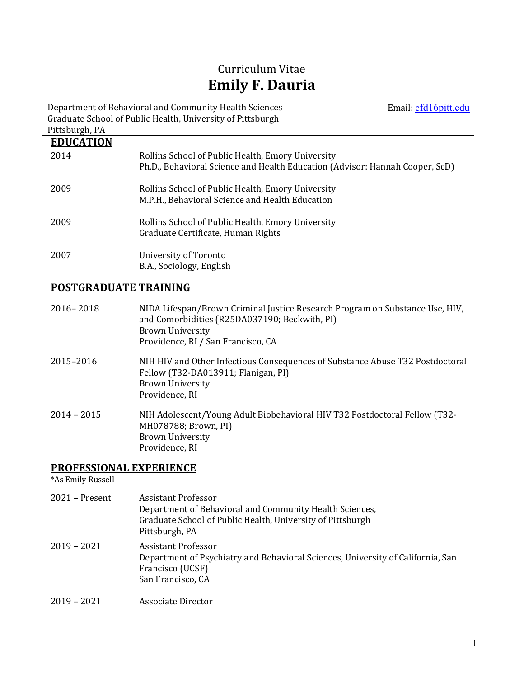# Curriculum Vitae **Emily F. Dauria**

Email: efd16pitt.edu

Department of Behavioral and Community Health Sciences Graduate School of Public Health, University of Pittsburgh Pittsburgh, PA

| <b>EDUCATION</b> |                                                                                                                                   |
|------------------|-----------------------------------------------------------------------------------------------------------------------------------|
| 2014             | Rollins School of Public Health, Emory University<br>Ph.D., Behavioral Science and Health Education (Advisor: Hannah Cooper, ScD) |
| 2009             | Rollins School of Public Health, Emory University<br>M.P.H., Behavioral Science and Health Education                              |
| 2009             | Rollins School of Public Health, Emory University<br>Graduate Certificate, Human Rights                                           |
| 2007             | University of Toronto<br>B.A., Sociology, English                                                                                 |

## **POSTGRADUATE TRAINING**

| $2016 - 2018$ | NIDA Lifespan/Brown Criminal Justice Research Program on Substance Use, HIV,<br>and Comorbidities (R25DA037190; Beckwith, PI)<br><b>Brown University</b><br>Providence, RI / San Francisco, CA |
|---------------|------------------------------------------------------------------------------------------------------------------------------------------------------------------------------------------------|
| 2015-2016     | NIH HIV and Other Infectious Consequences of Substance Abuse T32 Postdoctoral<br>Fellow (T32-DA013911; Flanigan, PI)<br><b>Brown University</b><br>Providence, RI                              |
| $2014 - 2015$ | NIH Adolescent/Young Adult Biobehavioral HIV T32 Postdoctoral Fellow (T32-<br>MH078788; Brown, PI)<br><b>Brown University</b><br>Providence, RI                                                |

## **PROFESSIONAL EXPERIENCE**

\*As Emily Russell

| $2021 -$ Present | Assistant Professor                                                             |
|------------------|---------------------------------------------------------------------------------|
|                  | Department of Behavioral and Community Health Sciences,                         |
|                  | Graduate School of Public Health, University of Pittsburgh                      |
|                  | Pittsburgh, PA                                                                  |
| $2019 - 2021$    | Assistant Professor                                                             |
|                  | Department of Psychiatry and Behavioral Sciences, University of California, San |
|                  | Francisco (UCSF)                                                                |
|                  | San Francisco, CA                                                               |
| $2019 - 2021$    | Associate Director                                                              |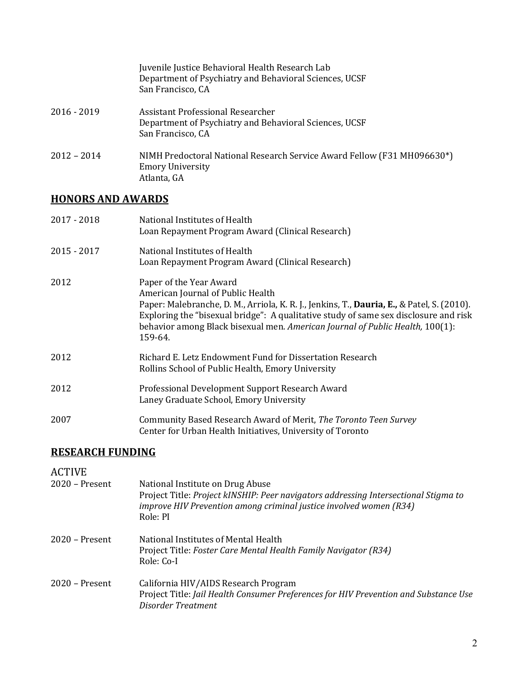|               | Juvenile Justice Behavioral Health Research Lab<br>Department of Psychiatry and Behavioral Sciences, UCSF<br>San Francisco, CA |
|---------------|--------------------------------------------------------------------------------------------------------------------------------|
| $2016 - 2019$ | Assistant Professional Researcher<br>Department of Psychiatry and Behavioral Sciences, UCSF<br>San Francisco, CA               |
| $2012 - 2014$ | NIMH Predoctoral National Research Service Award Fellow (F31 MH096630*)<br><b>Emory University</b><br>Atlanta, GA              |

## **HONORS AND AWARDS**

| $2017 - 2018$ | National Institutes of Health<br>Loan Repayment Program Award (Clinical Research)                                                                                                                                                                                                                                                              |
|---------------|------------------------------------------------------------------------------------------------------------------------------------------------------------------------------------------------------------------------------------------------------------------------------------------------------------------------------------------------|
| $2015 - 2017$ | National Institutes of Health<br>Loan Repayment Program Award (Clinical Research)                                                                                                                                                                                                                                                              |
| 2012          | Paper of the Year Award<br>American Journal of Public Health<br>Paper: Malebranche, D. M., Arriola, K. R. J., Jenkins, T., Dauria, E., & Patel, S. (2010).<br>Exploring the "bisexual bridge": A qualitative study of same sex disclosure and risk<br>behavior among Black bisexual men. American Journal of Public Health, 100(1):<br>159-64. |
| 2012          | Richard E. Letz Endowment Fund for Dissertation Research<br>Rollins School of Public Health, Emory University                                                                                                                                                                                                                                  |
| 2012          | Professional Development Support Research Award<br>Laney Graduate School, Emory University                                                                                                                                                                                                                                                     |
| 2007          | Community Based Research Award of Merit, The Toronto Teen Survey<br>Center for Urban Health Initiatives, University of Toronto                                                                                                                                                                                                                 |

## **RESEARCH FUNDING**

| <b>ACTIVE</b><br>$2020$ – Present | National Institute on Drug Abuse<br>Project Title: Project kINSHIP: Peer navigators addressing Intersectional Stigma to<br>improve HIV Prevention among criminal justice involved women (R34)<br>Role: PI |
|-----------------------------------|-----------------------------------------------------------------------------------------------------------------------------------------------------------------------------------------------------------|
| $2020$ – Present                  | National Institutes of Mental Health<br>Project Title: Foster Care Mental Health Family Navigator (R34)<br>Role: Co-I                                                                                     |
| $2020$ – Present                  | California HIV/AIDS Research Program<br>Project Title: Jail Health Consumer Preferences for HIV Prevention and Substance Use<br>Disorder Treatment                                                        |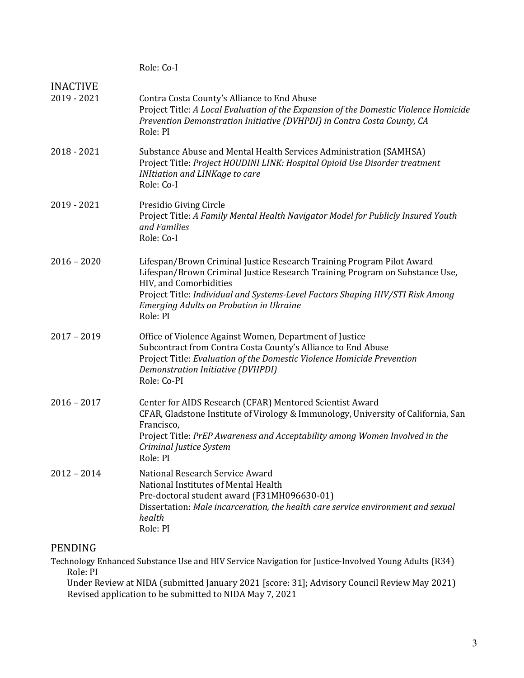|                                | Role: Co-I                                                                                                                                                                                                                                                                                                                     |
|--------------------------------|--------------------------------------------------------------------------------------------------------------------------------------------------------------------------------------------------------------------------------------------------------------------------------------------------------------------------------|
| <b>INACTIVE</b><br>2019 - 2021 | Contra Costa County's Alliance to End Abuse<br>Project Title: A Local Evaluation of the Expansion of the Domestic Violence Homicide<br>Prevention Demonstration Initiative (DVHPDI) in Contra Costa County, CA<br>Role: PI                                                                                                     |
| 2018 - 2021                    | Substance Abuse and Mental Health Services Administration (SAMHSA)<br>Project Title: Project HOUDINI LINK: Hospital Opioid Use Disorder treatment<br><b>INItiation and LINKage to care</b><br>Role: Co-I                                                                                                                       |
| 2019 - 2021                    | Presidio Giving Circle<br>Project Title: A Family Mental Health Navigator Model for Publicly Insured Youth<br>and Families<br>Role: Co-I                                                                                                                                                                                       |
| $2016 - 2020$                  | Lifespan/Brown Criminal Justice Research Training Program Pilot Award<br>Lifespan/Brown Criminal Justice Research Training Program on Substance Use,<br>HIV, and Comorbidities<br>Project Title: Individual and Systems-Level Factors Shaping HIV/STI Risk Among<br><b>Emerging Adults on Probation in Ukraine</b><br>Role: PI |
| $2017 - 2019$                  | Office of Violence Against Women, Department of Justice<br>Subcontract from Contra Costa County's Alliance to End Abuse<br>Project Title: Evaluation of the Domestic Violence Homicide Prevention<br>Demonstration Initiative (DVHPDI)<br>Role: Co-PI                                                                          |
| $2016 - 2017$                  | Center for AIDS Research (CFAR) Mentored Scientist Award<br>CFAR, Gladstone Institute of Virology & Immunology, University of California, San<br>Francisco,<br>Project Title: PrEP Awareness and Acceptability among Women Involved in the<br>Criminal Justice System<br>Role: PI                                              |
| $2012 - 2014$                  | National Research Service Award<br>National Institutes of Mental Health<br>Pre-doctoral student award (F31MH096630-01)<br>Dissertation: Male incarceration, the health care service environment and sexual<br>health<br>Role: PI                                                                                               |

## PENDING

Technology Enhanced Substance Use and HIV Service Navigation for Justice-Involved Young Adults (R34) Role: PI

Under Review at NIDA (submitted January 2021 [score: 31]; Advisory Council Review May 2021) Revised application to be submitted to NIDA May 7, 2021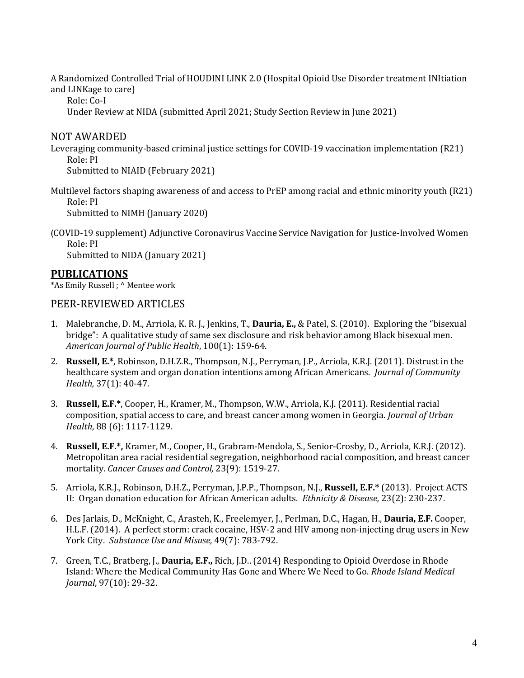A Randomized Controlled Trial of HOUDINI LINK 2.0 (Hospital Opioid Use Disorder treatment INItiation and LINKage to care)

Role: Co-I

Under Review at NIDA (submitted April 2021; Study Section Review in June 2021)

NOT AWARDED

Leveraging community-based criminal justice settings for COVID-19 vaccination implementation  $(R21)$  Role: PI

Submitted to NIAID (February 2021)

Multilevel factors shaping awareness of and access to  $PrEP$  among racial and ethnic minority youth (R21) Role: PI

Submitted to NIMH (January 2020)

(COVID-19 supplement) Adjunctive Coronavirus Vaccine Service Navigation for Justice-Involved Women Role: PI Submitted to NIDA (January 2021)

**PUBLICATIONS**

\*As Emily Russell ; ^ Mentee work

#### PEER-REVIEWED ARTICLES

- 1. Malebranche, D. M., Arriola, K. R. J., Jenkins, T., **Dauria, E.,** & Patel, S. (2010). Exploring the "bisexual bridge": A qualitative study of same sex disclosure and risk behavior among Black bisexual men. *American Journal of Public Health*, 100(1): 159-64.
- 2. **Russell, E.\***, Robinson, D.H.Z.R., Thompson, N.J., Perryman, J.P., Arriola, K.R.J. (2011). Distrust in the healthcare system and organ donation intentions among African Americans. *Journal of Community Health*, 37(1): 40-47.
- 3. **Russell, E.F.\***, Cooper, H., Kramer, M., Thompson, W.W., Arriola, K.J. (2011). Residential racial composition, spatial access to care, and breast cancer among women in Georgia. *Journal of Urban Health*, 88 (6): 1117-1129.
- 4. **Russell, E.F.\*,** Kramer, M., Cooper, H., Grabram-Mendola, S., Senior-Crosby, D., Arriola, K.R.J. (2012). Metropolitan area racial residential segregation, neighborhood racial composition, and breast cancer mortality. *Cancer Causes and Control*, 23(9): 1519-27.
- 5. Arriola, K.R.J., Robinson, D.H.Z., Perryman, J.P.P., Thompson, N.J., **Russell, E.F.\*** (2013). Project ACTS II: Organ donation education for African American adults. *Ethnicity & Disease*, 23(2): 230-237.
- 6. Des Jarlais, D., McKnight, C., Arasteh, K., Freelemyer, J., Perlman, D.C., Hagan, H., **Dauria, E.F.** Cooper, H.L.F. (2014). A perfect storm: crack cocaine, HSV-2 and HIV among non-injecting drug users in New York City. Substance Use and Misuse, 49(7): 783-792.
- 7. Green, T.C., Bratberg, J., **Dauria, E.F.,** Rich, J.D.. (2014) Responding to Opioid Overdose in Rhode Island: Where the Medical Community Has Gone and Where We Need to Go. *Rhode Island Medical Journal*, 97(10): 29-32.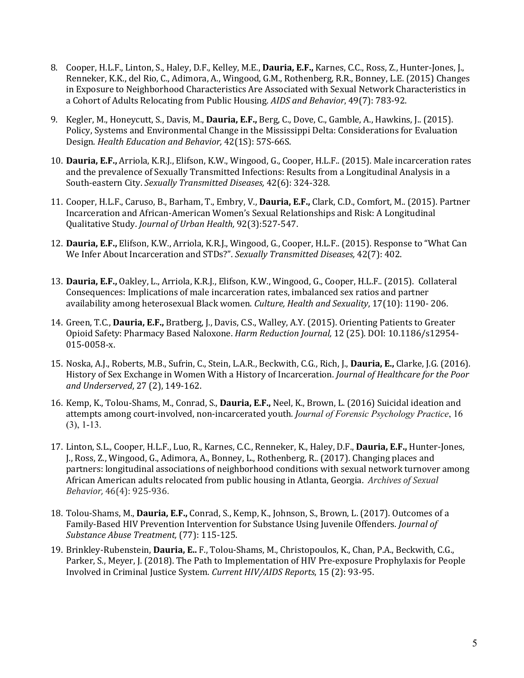- 8. Cooper, H.L.F., Linton, S., Haley, D.F., Kelley, M.E., **Dauria, E.F.,** Karnes, C.C., Ross, Z., Hunter-Jones, J., Renneker, K.K., del Rio, C., Adimora, A., Wingood, G.M., Rothenberg, R.R., Bonney, L.E. (2015) Changes in Exposure to Neighborhood Characteristics Are Associated with Sexual Network Characteristics in a Cohort of Adults Relocating from Public Housing. *AIDS and Behavior*, 49(7): 783-92.
- 9. Kegler, M., Honeycutt, S., Davis, M., **Dauria, E.F.,** Berg, C., Dove, C., Gamble, A., Hawkins, J.. (2015). Policy, Systems and Environmental Change in the Mississippi Delta: Considerations for Evaluation Design. *Health Education and Behavior*, 42(1S): 57S-66S.
- 10. **Dauria, E.F.,** Arriola, K.R.J., Elifson, K.W., Wingood, G., Cooper, H.L.F.. (2015). Male incarceration rates and the prevalence of Sexually Transmitted Infections: Results from a Longitudinal Analysis in a South-eastern City. Sexually Transmitted Diseases, 42(6): 324-328.
- 11. Cooper, H.L.F., Caruso, B., Barham, T., Embry, V., Dauria, E.F., Clark, C.D., Comfort, M.. (2015). Partner Incarceration and African-American Women's Sexual Relationships and Risk: A Longitudinal Qualitative Study. *Journal of Urban Health,* 92(3):527-547.
- 12. **Dauria, E.F.,** Elifson, K.W., Arriola, K.R.J., Wingood, G., Cooper, H.L.F.. (2015). Response to "What Can We Infer About Incarceration and STDs?". Sexually Transmitted Diseases, 42(7): 402.
- 13. Dauria, E.F., Oakley, L., Arriola, K.R.J., Elifson, K.W., Wingood, G., Cooper, H.L.F.. (2015). Collateral Consequences: Implications of male incarceration rates, imbalanced sex ratios and partner availability among heterosexual Black women. *Culture, Health and Sexuality*, 17(10): 1190-206.
- 14. Green, T.C., **Dauria, E.F.,** Bratberg, J., Davis, C.S., Walley, A.Y. (2015). Orienting Patients to Greater Opioid Safety: Pharmacy Based Naloxone. *Harm Reduction Journal*, 12 (25). DOI: 10.1186/s12954-015-0058-x.
- 15. Noska, A.J., Roberts, M.B., Sufrin, C., Stein, L.A.R., Beckwith, C.G., Rich, J., **Dauria, E.,** Clarke, J.G. (2016). History of Sex Exchange in Women With a History of Incarceration. *Journal of Healthcare for the Poor* and Underserved, 27 (2), 149-162.
- 16. Kemp, K., Tolou-Shams, M., Conrad, S., **Dauria, E.F.,** Neel, K., Brown, L. (2016) Suicidal ideation and attempts among court-involved, non-incarcerated youth. *Journal of Forensic Psychology Practice*, 16 (3), 1-13.
- 17. Linton, S.L., Cooper, H.L.F., Luo, R., Karnes, C.C., Renneker, K., Haley, D.F., **Dauria, E.F.,** Hunter-Jones, J., Ross, Z., Wingood, G., Adimora, A., Bonney, L., Rothenberg, R., (2017). Changing places and partners: longitudinal associations of neighborhood conditions with sexual network turnover among African American adults relocated from public housing in Atlanta, Georgia. Archives of Sexual *Behavior,* 46(4): 925-936.
- 18. Tolou-Shams, M., Dauria, E.F., Conrad, S., Kemp, K., Johnson, S., Brown, L. (2017). Outcomes of a Family-Based HIV Prevention Intervention for Substance Using Juvenile Offenders. *Journal of Substance Abuse Treatment,* (77): 115-125.
- 19. Brinkley-Rubenstein, Dauria, E., F., Tolou-Shams, M., Christopoulos, K., Chan, P.A., Beckwith, C.G., Parker, S., Meyer, J. (2018). The Path to Implementation of HIV Pre-exposure Prophylaxis for People Involved in Criminal Justice System. *Current HIV/AIDS Reports*, 15 (2): 93-95.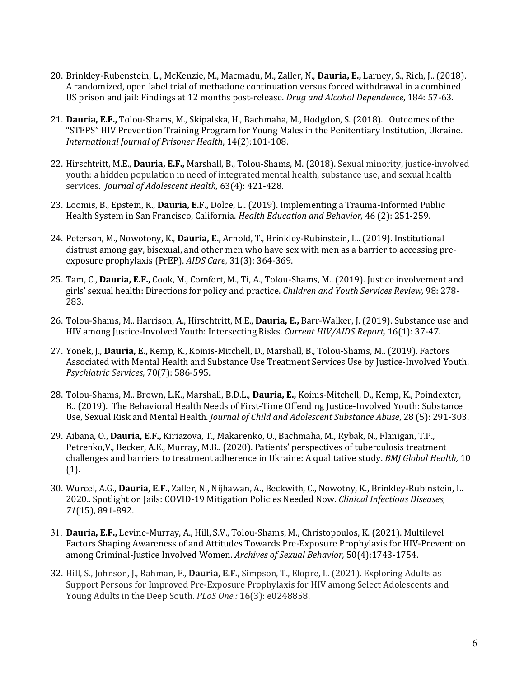- 20. Brinkley-Rubenstein, L., McKenzie, M., Macmadu, M., Zaller, N., **Dauria, E.,** Larney, S., Rich, J.. (2018). A randomized, open label trial of methadone continuation versus forced withdrawal in a combined US prison and jail: Findings at 12 months post-release. *Drug and Alcohol Dependence*, 184: 57-63.
- 21. **Dauria, E.F.,** Tolou-Shams, M., Skipalska, H., Bachmaha, M., Hodgdon, S. (2018). Outcomes of the "STEPS" HIV Prevention Training Program for Young Males in the Penitentiary Institution, Ukraine. *International Journal of Prisoner Health*, 14(2):101-108.
- 22. Hirschtritt, M.E., **Dauria, E.F.,** Marshall, B., Tolou-Shams, M. (2018). Sexual minority, justice-involved youth: a hidden population in need of integrated mental health, substance use, and sexual health services. *Journal of Adolescent Health*, 63(4): 421-428.
- 23. Loomis, B., Epstein, K., **Dauria, E.F.,** Dolce, L.. (2019). Implementing a Trauma-Informed Public Health System in San Francisco, California. *Health Education and Behavior*, 46 (2): 251-259.
- 24. Peterson, M., Nowotony, K., **Dauria, E.,** Arnold, T., Brinkley-Rubinstein, L.. (2019). Institutional distrust among gay, bisexual, and other men who have sex with men as a barrier to accessing preexposure prophylaxis (PrEP). AIDS Care, 31(3): 364-369.
- 25. Tam, C., **Dauria, E.F.,** Cook, M., Comfort, M., Ti, A., Tolou-Shams, M., (2019). Justice involvement and girls' sexual health: Directions for policy and practice. *Children and Youth Services Review,* 98: 278-283.
- 26. Tolou-Shams, M.. Harrison, A., Hirschtritt, M.E., Dauria, E., Barr-Walker, J. (2019). Substance use and HIV among Justice-Involved Youth: Intersecting Risks. *Current HIV/AIDS Report*, 16(1): 37-47.
- 27. Yonek, J., Dauria, E., Kemp, K., Koinis-Mitchell, D., Marshall, B., Tolou-Shams, M.. (2019). Factors Associated with Mental Health and Substance Use Treatment Services Use by Justice-Involved Youth. *Psychiatric Services,* 70(7): 586-595.
- 28. Tolou-Shams, M.. Brown, L.K., Marshall, B.D.L., **Dauria, E.,** Koinis-Mitchell, D., Kemp, K., Poindexter, B.. (2019). The Behavioral Health Needs of First-Time Offending Justice-Involved Youth: Substance Use, Sexual Risk and Mental Health. *Journal of Child and Adolescent Substance Abuse*, 28 (5): 291-303.
- 29. Aibana, O., **Dauria, E.F.,** Kiriazova, T., Makarenko, O., Bachmaha, M., Rybak, N., Flanigan, T.P., Petrenko, V., Becker, A.E., Murray, M.B.. (2020). Patients' perspectives of tuberculosis treatment challenges and barriers to treatment adherence in Ukraine: A qualitative study. *BMJ Global Health*, 10 (1).
- 30. Wurcel, A.G., Dauria, E.F., Zaller, N., Nijhawan, A., Beckwith, C., Nowotny, K., Brinkley-Rubinstein, L. 2020. Spotlight on Jails: COVID-19 Mitigation Policies Needed Now. *Clinical Infectious Diseases*, *71*(15), 891-892.
- 31. Dauria, E.F., Levine-Murray, A., Hill, S.V., Tolou-Shams, M., Christopoulos, K. (2021). Multilevel Factors Shaping Awareness of and Attitudes Towards Pre-Exposure Prophylaxis for HIV-Prevention among Criminal-Justice Involved Women. Archives of Sexual Behavior, 50(4):1743-1754.
- 32. Hill, S., Johnson, J., Rahman, F., **Dauria, E.F.,** Simpson, T., Elopre, L. (2021). Exploring Adults as Support Persons for Improved Pre-Exposure Prophylaxis for HIV among Select Adolescents and Young Adults in the Deep South. *PLoS One.:* 16(3): e0248858.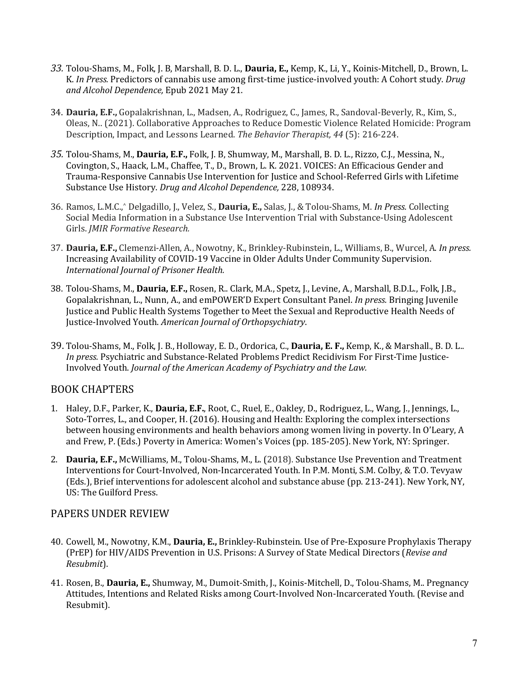- 33. Tolou-Shams, M., Folk, J. B, Marshall, B. D. L., Dauria, E., Kemp, K., Li, Y., Koinis-Mitchell, D., Brown, L. K. In Press. Predictors of cannabis use among first-time justice-involved youth: A Cohort study. *Drug and Alcohol Dependence,* Epub 2021 May 21.
- 34. Dauria, E.F., Gopalakrishnan, L., Madsen, A., Rodriguez, C., James, R., Sandoval-Beverly, R., Kim, S., Oleas, N.. (2021). Collaborative Approaches to Reduce Domestic Violence Related Homicide: Program Description, Impact, and Lessons Learned. The Behavior Therapist, 44 (5): 216-224.
- 35. Tolou-Shams, M., Dauria, E.F., Folk, J. B, Shumway, M., Marshall, B. D. L., Rizzo, C.J., Messina, N., Covington, S., Haack, L.M., Chaffee, T., D., Brown, L. K. 2021. VOICES: An Efficacious Gender and Trauma-Responsive Cannabis Use Intervention for Justice and School-Referred Girls with Lifetime Substance Use History. *Drug and Alcohol Dependence*, 228, 108934.
- 36. Ramos, L.M.C.,^ Delgadillo, J., Velez, S., **Dauria, E.,** Salas, J., & Tolou-Shams, M. *In Press.* Collecting Social Media Information in a Substance Use Intervention Trial with Substance-Using Adolescent Girls. *JMIR Formative Research.*
- 37. Dauria, E.F., Clemenzi-Allen, A., Nowotny, K., Brinkley-Rubinstein, L., Williams, B., Wurcel, A. In press. Increasing Availability of COVID-19 Vaccine in Older Adults Under Community Supervision. **International Journal of Prisoner Health.**
- 38. Tolou-Shams, M., Dauria, E.F., Rosen, R.. Clark, M.A., Spetz, J., Levine, A., Marshall, B.D.L., Folk, J.B., Gopalakrishnan, L., Nunn, A., and emPOWER'D Expert Consultant Panel. *In press.* Bringing Juvenile Justice and Public Health Systems Together to Meet the Sexual and Reproductive Health Needs of Justice-Involved Youth. *American Journal of Orthopsychiatry*.
- 39. Tolou-Shams, M., Folk, J. B., Holloway, E. D., Ordorica, C., **Dauria, E. F.,** Kemp, K., & Marshall., B. D. L.. *In press.* Psychiatric and Substance-Related Problems Predict Recidivism For First-Time Justice-Involved Youth. *Journal of the American Academy of Psychiatry and the Law.*

### BOOK CHAPTERS

- 1. Haley, D.F., Parker, K., **Dauria, E.F.**, Root, C., Ruel, E., Oakley, D., Rodriguez, L., Wang, J., Jennings, L., Soto-Torres, L., and Cooper, H. (2016). Housing and Health: Exploring the complex intersections between housing environments and health behaviors among women living in poverty. In O'Leary, A and Frew, P. (Eds.) Poverty in America: Women's Voices (pp. 185-205). New York, NY: Springer.
- 2. **Dauria, E.F.,** McWilliams, M., Tolou-Shams, M., L. (2018). Substance Use Prevention and Treatment Interventions for Court-Involved, Non-Incarcerated Youth. In P.M. Monti, S.M. Colby, & T.O. Tevyaw (Eds.), Brief interventions for adolescent alcohol and substance abuse (pp. 213-241). New York, NY, US: The Guilford Press.

### PAPERS UNDER REVIEW

- 40. Cowell, M., Nowotny, K.M., **Dauria, E.,** Brinkley-Rubinstein. Use of Pre-Exposure Prophylaxis Therapy (PrEP) for HIV/AIDS Prevention in U.S. Prisons: A Survey of State Medical Directors (*Revise and Resubmit*).
- 41. Rosen, B., Dauria, E., Shumway, M., Dumoit-Smith, J., Koinis-Mitchell, D., Tolou-Shams, M.. Pregnancy Attitudes, Intentions and Related Risks among Court-Involved Non-Incarcerated Youth. (Revise and Resubmit).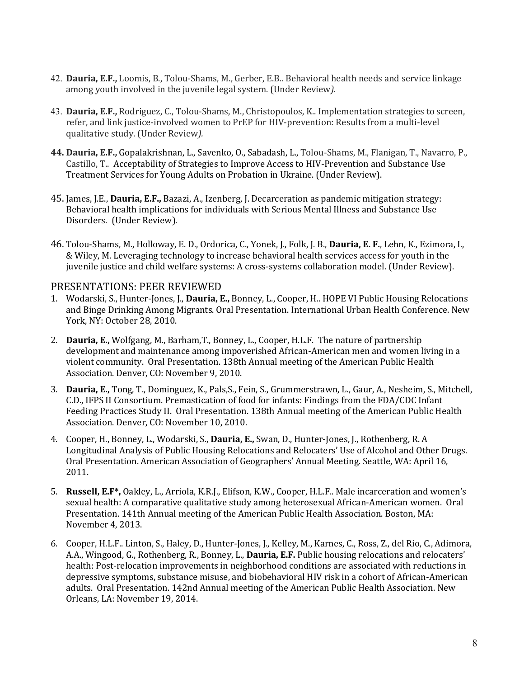- 42. **Dauria, E.F.,** Loomis, B., Tolou-Shams, M., Gerber, E.B.. Behavioral health needs and service linkage among youth involved in the juvenile legal system. (Under Review).
- 43. Dauria, E.F., Rodriguez, C., Tolou-Shams, M., Christopoulos, K.. Implementation strategies to screen, refer, and link justice-involved women to PrEP for HIV-prevention: Results from a multi-level qualitative study. (Under Review).
- **44. Dauria, E.F.,** Gopalakrishnan, L., Savenko, O., Sabadash, L., Tolou-Shams, M., Flanigan, T., Navarro, P., Castillo, T.. Acceptability of Strategies to Improve Access to HIV-Prevention and Substance Use Treatment Services for Young Adults on Probation in Ukraine. (Under Review).
- 45. James, J.E., **Dauria, E.F.,** Bazazi, A., Izenberg, J. Decarceration as pandemic mitigation strategy: Behavioral health implications for individuals with Serious Mental Illness and Substance Use Disorders. (Under Review).
- 46. Tolou-Shams, M., Holloway, E. D., Ordorica, C., Yonek, J., Folk, J. B., Dauria, E. F., Lehn, K., Ezimora, I., & Wiley, M. Leveraging technology to increase behavioral health services access for youth in the juvenile justice and child welfare systems: A cross-systems collaboration model. (Under Review).

#### PRESENTATIONS: PEER REVIEWED

- 1. Wodarski, S., Hunter-Jones, J., **Dauria, E.,** Bonney, L., Cooper, H., HOPE VI Public Housing Relocations and Binge Drinking Among Migrants. Oral Presentation. International Urban Health Conference. New York, NY: October 28, 2010.
- 2. **Dauria, E.,** Wolfgang, M., Barham, T., Bonney, L., Cooper, H.L.F. The nature of partnership development and maintenance among impoverished African-American men and women living in a violent community. Oral Presentation. 138th Annual meeting of the American Public Health Association. Denver, CO: November 9, 2010.
- 3. Dauria, E., Tong, T., Dominguez, K., Pals, S., Fein, S., Grummerstrawn, L., Gaur, A., Nesheim, S., Mitchell, C.D., IFPS II Consortium. Premastication of food for infants: Findings from the FDA/CDC Infant Feeding Practices Study II. Oral Presentation. 138th Annual meeting of the American Public Health Association. Denver, CO: November 10, 2010.
- 4. Cooper, H., Bonney, L., Wodarski, S., **Dauria, E.,** Swan, D., Hunter-Jones, J., Rothenberg, R. A. Longitudinal Analysis of Public Housing Relocations and Relocaters' Use of Alcohol and Other Drugs. Oral Presentation. American Association of Geographers' Annual Meeting. Seattle, WA: April 16, 2011.
- 5. **Russell, E.F\*,** Oakley, L., Arriola, K.R.J., Elifson, K.W., Cooper, H.L.F.. Male incarceration and women's sexual health: A comparative qualitative study among heterosexual African-American women. Oral Presentation. 141th Annual meeting of the American Public Health Association. Boston, MA: November 4, 2013.
- 6. Cooper, H.L.F.. Linton, S., Haley, D., Hunter-Jones, J., Kelley, M., Karnes, C., Ross, Z., del Rio, C., Adimora, A.A., Wingood, G., Rothenberg, R., Bonney, L., Dauria, E.F. Public housing relocations and relocaters' health: Post-relocation improvements in neighborhood conditions are associated with reductions in depressive symptoms, substance misuse, and biobehavioral HIV risk in a cohort of African-American adults. Oral Presentation. 142nd Annual meeting of the American Public Health Association. New Orleans, LA: November 19, 2014.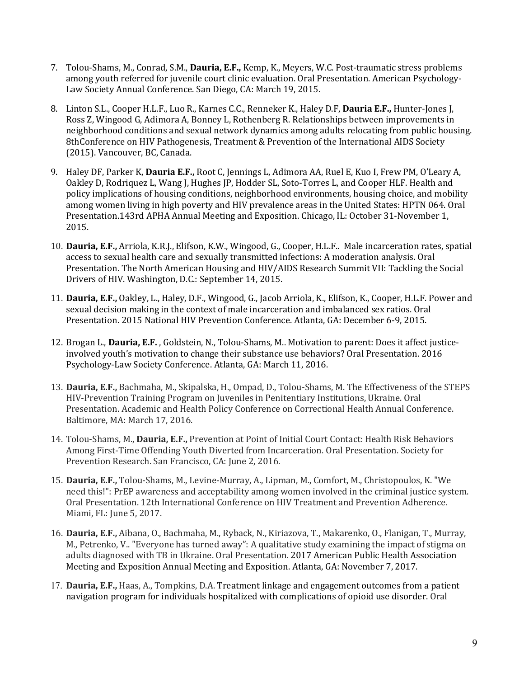- 7. Tolou-Shams, M., Conrad, S.M., **Dauria, E.F.,** Kemp, K., Meyers, W.C. Post-traumatic stress problems among youth referred for juvenile court clinic evaluation. Oral Presentation. American Psychology-Law Society Annual Conference. San Diego, CA: March 19, 2015.
- 8. Linton S.L., Cooper H.L.F., Luo R., Karnes C.C., Renneker K., Haley D.F, Dauria E.F., Hunter-Jones J, Ross Z, Wingood G, Adimora A, Bonney L, Rothenberg R. Relationships between improvements in neighborhood conditions and sexual network dynamics among adults relocating from public housing. 8thConference on HIV Pathogenesis, Treatment & Prevention of the International AIDS Society (2015). Vancouver, BC, Canada.
- 9. Haley DF, Parker K, Dauria E.F., Root C, Jennings L, Adimora AA, Ruel E, Kuo I, Frew PM, O'Leary A, Oakley D, Rodriquez L, Wang J, Hughes JP, Hodder SL, Soto-Torres L, and Cooper HLF. Health and policy implications of housing conditions, neighborhood environments, housing choice, and mobility among women living in high poverty and HIV prevalence areas in the United States: HPTN 064. Oral Presentation.143rd APHA Annual Meeting and Exposition. Chicago, IL: October 31-November 1, 2015.
- 10. **Dauria, E.F.,** Arriola, K.R.J., Elifson, K.W., Wingood, G., Cooper, H.L.F.. Male incarceration rates, spatial access to sexual health care and sexually transmitted infections: A moderation analysis. Oral Presentation. The North American Housing and HIV/AIDS Research Summit VII: Tackling the Social Drivers of HIV. Washington, D.C.: September 14, 2015.
- 11. **Dauria, E.F.,** Oakley, L., Haley, D.F., Wingood, G., Jacob Arriola, K., Elifson, K., Cooper, H.L.F. Power and sexual decision making in the context of male incarceration and imbalanced sex ratios. Oral Presentation. 2015 National HIV Prevention Conference. Atlanta, GA: December 6-9, 2015.
- 12. Brogan L., **Dauria, E.F.**, Goldstein, N., Tolou-Shams, M.. Motivation to parent: Does it affect justiceinvolved youth's motivation to change their substance use behaviors? Oral Presentation. 2016 Psychology-Law Society Conference. Atlanta, GA: March 11, 2016.
- 13. **Dauria, E.F.,** Bachmaha, M., Skipalska, H., Ompad, D., Tolou-Shams, M. The Effectiveness of the STEPS HIV-Prevention Training Program on Juveniles in Penitentiary Institutions, Ukraine. Oral Presentation. Academic and Health Policy Conference on Correctional Health Annual Conference. Baltimore, MA: March 17, 2016.
- 14. Tolou-Shams, M., Dauria, E.F., Prevention at Point of Initial Court Contact: Health Risk Behaviors Among First-Time Offending Youth Diverted from Incarceration. Oral Presentation. Society for Prevention Research. San Francisco, CA: June 2, 2016.
- 15. Dauria, E.F., Tolou-Shams, M., Levine-Murray, A., Lipman, M., Comfort, M., Christopoulos, K. "We need this!": PrEP awareness and acceptability among women involved in the criminal justice system. Oral Presentation. 12th International Conference on HIV Treatment and Prevention Adherence. Miami, FL: June 5, 2017.
- 16. Dauria, E.F., Aibana, O., Bachmaha, M., Ryback, N., Kiriazova, T., Makarenko, O., Flanigan, T., Murray, M., Petrenko, V.. "Everyone has turned away": A qualitative study examining the impact of stigma on adults diagnosed with TB in Ukraine. Oral Presentation. 2017 American Public Health Association Meeting and Exposition Annual Meeting and Exposition. Atlanta, GA: November 7, 2017.
- 17. Dauria, E.F., Haas, A., Tompkins, D.A. Treatment linkage and engagement outcomes from a patient navigation program for individuals hospitalized with complications of opioid use disorder. Oral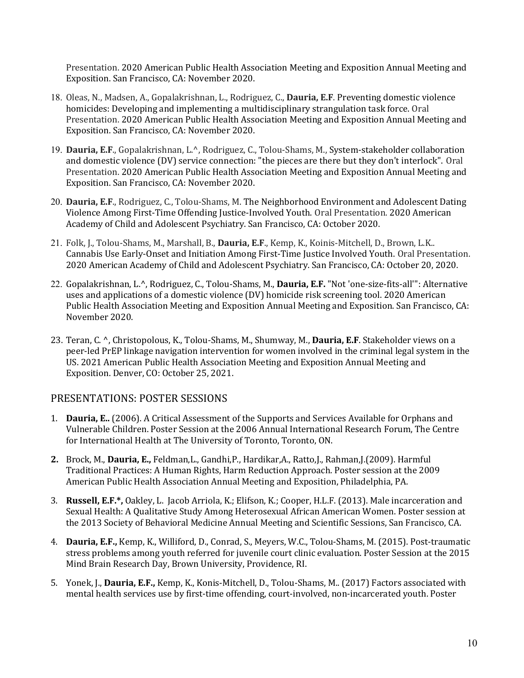Presentation. 2020 American Public Health Association Meeting and Exposition Annual Meeting and Exposition. San Francisco, CA: November 2020.

- 18. Oleas, N., Madsen, A., Gopalakrishnan, L., Rodriguez, C., Dauria, E.F. Preventing domestic violence homicides: Developing and implementing a multidisciplinary strangulation task force. Oral Presentation. 2020 American Public Health Association Meeting and Exposition Annual Meeting and Exposition. San Francisco, CA: November 2020.
- 19. Dauria, E.F., Gopalakrishnan, L.^, Rodriguez, C., Tolou-Shams, M., System-stakeholder collaboration and domestic violence (DV) service connection: "the pieces are there but they don't interlock". Oral Presentation. 2020 American Public Health Association Meeting and Exposition Annual Meeting and Exposition. San Francisco, CA: November 2020.
- 20. **Dauria, E.F.**, Rodriguez, C., Tolou-Shams, M. The Neighborhood Environment and Adolescent Dating Violence Among First-Time Offending Justice-Involved Youth. Oral Presentation. 2020 American Academy of Child and Adolescent Psychiatry. San Francisco, CA: October 2020.
- 21. Folk, J., Tolou-Shams, M., Marshall, B., Dauria, E.F., Kemp, K., Koinis-Mitchell, D., Brown, L.K.. Cannabis Use Early-Onset and Initiation Among First-Time Justice Involved Youth. Oral Presentation. 2020 American Academy of Child and Adolescent Psychiatry. San Francisco, CA: October 20, 2020.
- 22. Gopalakrishnan, L.<sup>^</sup>, Rodriguez, C., Tolou-Shams, M., **Dauria, E.F.** "Not 'one-size-fits-all'": Alternative uses and applications of a domestic violence (DV) homicide risk screening tool. 2020 American Public Health Association Meeting and Exposition Annual Meeting and Exposition. San Francisco, CA: November 2020.
- 23. Teran, C. ^, Christopolous, K., Tolou-Shams, M., Shumway, M., **Dauria, E.F.** Stakeholder views on a peer-led PrEP linkage navigation intervention for women involved in the criminal legal system in the US. 2021 American Public Health Association Meeting and Exposition Annual Meeting and Exposition. Denver, CO: October 25, 2021.

### PRESENTATIONS: POSTER SESSIONS

- 1. **Dauria, E..** (2006). A Critical Assessment of the Supports and Services Available for Orphans and Vulnerable Children. Poster Session at the 2006 Annual International Research Forum, The Centre for International Health at The University of Toronto, Toronto, ON.
- 2. Brock, M., Dauria, E., Feldman,L., Gandhi,P., Hardikar,A., Ratto,J., Rahman,J.(2009). Harmful Traditional Practices: A Human Rights, Harm Reduction Approach. Poster session at the 2009 American Public Health Association Annual Meeting and Exposition, Philadelphia, PA.
- 3. **Russell, E.F.\*,** Oakley, L. Jacob Arriola, K.; Elifson, K.; Cooper, H.L.F. (2013). Male incarceration and Sexual Health: A Qualitative Study Among Heterosexual African American Women. Poster session at the 2013 Society of Behavioral Medicine Annual Meeting and Scientific Sessions, San Francisco, CA.
- 4. **Dauria, E.F.,** Kemp, K., Williford, D., Conrad, S., Meyers, W.C., Tolou-Shams, M. (2015). Post-traumatic stress problems among youth referred for juvenile court clinic evaluation. Poster Session at the 2015 Mind Brain Research Day, Brown University, Providence, RI.
- 5. Yonek, J., Dauria, E.F., Kemp, K., Konis-Mitchell, D., Tolou-Shams, M.. (2017) Factors associated with mental health services use by first-time offending, court-involved, non-incarcerated youth. Poster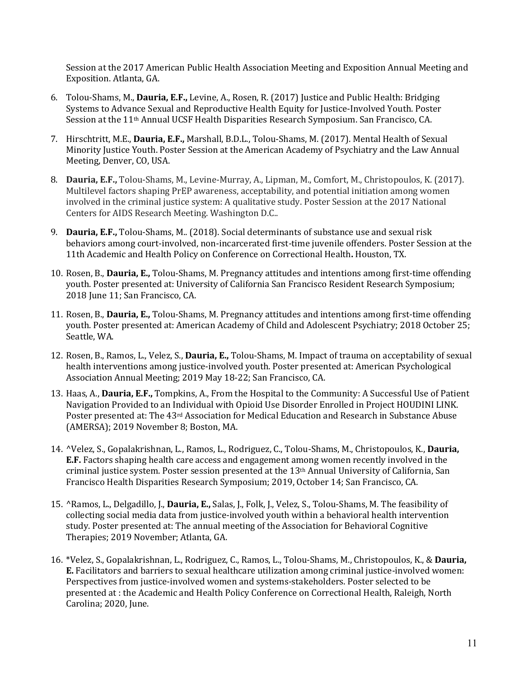Session at the 2017 American Public Health Association Meeting and Exposition Annual Meeting and Exposition. Atlanta, GA.

- 6. Tolou-Shams, M., **Dauria, E.F.**, Levine, A., Rosen, R. (2017) Justice and Public Health: Bridging Systems to Advance Sexual and Reproductive Health Equity for Justice-Involved Youth. Poster Session at the 11<sup>th</sup> Annual UCSF Health Disparities Research Symposium. San Francisco, CA.
- 7. Hirschtritt, M.E., Dauria, E.F., Marshall, B.D.L., Tolou-Shams, M. (2017). Mental Health of Sexual Minority Justice Youth. Poster Session at the American Academy of Psychiatry and the Law Annual Meeting, Denver, CO, USA.
- 8. **Dauria, E.F.,** Tolou-Shams, M., Levine-Murray, A., Lipman, M., Comfort, M., Christopoulos, K. (2017). Multilevel factors shaping PrEP awareness, acceptability, and potential initiation among women involved in the criminal justice system: A qualitative study. Poster Session at the 2017 National Centers for AIDS Research Meeting. Washington D.C..
- 9. **Dauria, E.F.,** Tolou-Shams, M.. (2018). Social determinants of substance use and sexual risk behaviors among court-involved, non-incarcerated first-time juvenile offenders. Poster Session at the 11th Academic and Health Policy on Conference on Correctional Health. Houston, TX.
- 10. Rosen, B., **Dauria, E.,** Tolou-Shams, M. Pregnancy attitudes and intentions among first-time offending youth. Poster presented at: University of California San Francisco Resident Research Symposium; 2018 June 11; San Francisco, CA.
- 11. Rosen, B., **Dauria, E.,** Tolou-Shams, M. Pregnancy attitudes and intentions among first-time offending youth. Poster presented at: American Academy of Child and Adolescent Psychiatry; 2018 October 25; Seattle, WA.
- 12. Rosen, B., Ramos, L., Velez, S., **Dauria, E.,** Tolou-Shams, M. Impact of trauma on acceptability of sexual health interventions among justice-involved youth. Poster presented at: American Psychological Association Annual Meeting; 2019 May 18-22; San Francisco, CA.
- 13. Haas, A., Dauria, E.F., Tompkins, A., From the Hospital to the Community: A Successful Use of Patient Navigation Provided to an Individual with Opioid Use Disorder Enrolled in Project HOUDINI LINK. Poster presented at: The 43<sup>rd</sup> Association for Medical Education and Research in Substance Abuse (AMERSA); 2019 November 8; Boston, MA.
- 14. *^Velez, S., Gopalakrishnan, L., Ramos, L., Rodriguez, C., Tolou-Shams, M., Christopoulos, K., Dauria,* **E.F.** Factors shaping health care access and engagement among women recently involved in the criminal justice system. Poster session presented at the 13<sup>th</sup> Annual University of California, San Francisco Health Disparities Research Symposium; 2019, October 14; San Francisco, CA.
- 15. ^Ramos, L., Delgadillo, J., Dauria, E., Salas, J., Folk, J., Velez, S., Tolou-Shams, M. The feasibility of collecting social media data from justice-involved youth within a behavioral health intervention study. Poster presented at: The annual meeting of the Association for Behavioral Cognitive Therapies; 2019 November; Atlanta, GA.
- 16. \*Velez, S., Gopalakrishnan, L., Rodriguez, C., Ramos, L., Tolou-Shams, M., Christopoulos, K., & **Dauria, E.** Facilitators and barriers to sexual healthcare utilization among criminal justice-involved women: Perspectives from justice-involved women and systems-stakeholders. Poster selected to be presented at : the Academic and Health Policy Conference on Correctional Health, Raleigh, North Carolina; 2020, June.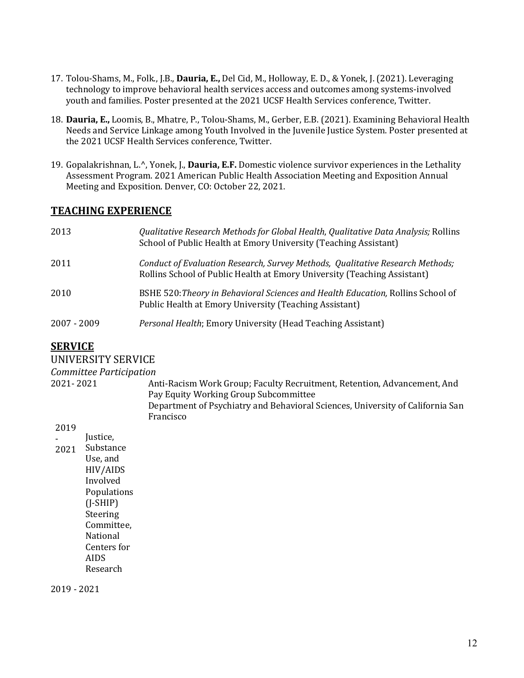- 17. Tolou-Shams, M., Folk., J.B., **Dauria, E.,** Del Cid, M., Holloway, E. D., & Yonek, J. (2021). Leveraging technology to improve behavioral health services access and outcomes among systems-involved youth and families. Poster presented at the 2021 UCSF Health Services conference, Twitter.
- 18. **Dauria, E.,** Loomis, B., Mhatre, P., Tolou-Shams, M., Gerber, E.B. (2021). Examining Behavioral Health Needs and Service Linkage among Youth Involved in the Juvenile Justice System. Poster presented at the 2021 UCSF Health Services conference, Twitter.
- 19. Gopalakrishnan, L.<sup>^</sup>, Yonek, J., **Dauria, E.F.** Domestic violence survivor experiences in the Lethality Assessment Program. 2021 American Public Health Association Meeting and Exposition Annual Meeting and Exposition. Denver, CO: October 22, 2021.

### **TEACHING EXPERIENCE**

| 2013        | Qualitative Research Methods for Global Health, Qualitative Data Analysis; Rollins<br>School of Public Health at Emory University (Teaching Assistant)    |
|-------------|-----------------------------------------------------------------------------------------------------------------------------------------------------------|
| 2011        | Conduct of Evaluation Research, Survey Methods, Qualitative Research Methods;<br>Rollins School of Public Health at Emory University (Teaching Assistant) |
| 2010        | BSHE 520: Theory in Behavioral Sciences and Health Education, Rollins School of<br>Public Health at Emory University (Teaching Assistant)                 |
| 2007 - 2009 | Personal Health; Emory University (Head Teaching Assistant)                                                                                               |

### **SERVICE**

#### UNIVERSITY SERVICE

#### *Committee Participation*

2021- 2021 Anti-Racism Work Group; Faculty Recruitment, Retention, Advancement, And Pay Equity Working Group Subcommittee Department of Psychiatry and Behavioral Sciences, University of California San Francisco

#### 2019

| Justice,    |
|-------------|
| Substance   |
| Use, and    |
| HIV/AIDS    |
| Involved    |
| Populations |
| (J-SHIP)    |
| Steering    |
| Committee,  |
| National    |
| Centers for |
| <b>AIDS</b> |
| Research    |
|             |

Justice, 

2019 - 2021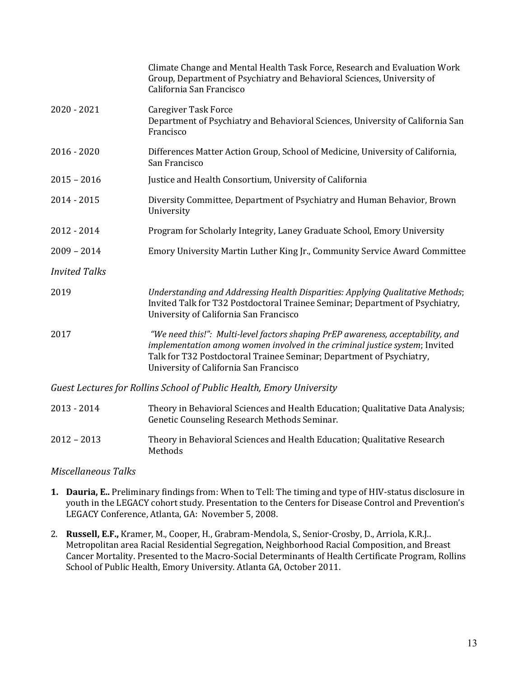|                      | Climate Change and Mental Health Task Force, Research and Evaluation Work<br>Group, Department of Psychiatry and Behavioral Sciences, University of<br>California San Francisco                                                                                                  |
|----------------------|----------------------------------------------------------------------------------------------------------------------------------------------------------------------------------------------------------------------------------------------------------------------------------|
| $2020 - 2021$        | <b>Caregiver Task Force</b><br>Department of Psychiatry and Behavioral Sciences, University of California San<br>Francisco                                                                                                                                                       |
| $2016 - 2020$        | Differences Matter Action Group, School of Medicine, University of California,<br>San Francisco                                                                                                                                                                                  |
| $2015 - 2016$        | Justice and Health Consortium, University of California                                                                                                                                                                                                                          |
| 2014 - 2015          | Diversity Committee, Department of Psychiatry and Human Behavior, Brown<br>University                                                                                                                                                                                            |
| 2012 - 2014          | Program for Scholarly Integrity, Laney Graduate School, Emory University                                                                                                                                                                                                         |
| $2009 - 2014$        | Emory University Martin Luther King Jr., Community Service Award Committee                                                                                                                                                                                                       |
| <b>Invited Talks</b> |                                                                                                                                                                                                                                                                                  |
| 2019                 | Understanding and Addressing Health Disparities: Applying Qualitative Methods;<br>Invited Talk for T32 Postdoctoral Trainee Seminar; Department of Psychiatry,<br>University of California San Francisco                                                                         |
| 2017                 | "We need this!": Multi-level factors shaping PrEP awareness, acceptability, and<br>implementation among women involved in the criminal justice system; Invited<br>Talk for T32 Postdoctoral Trainee Seminar; Department of Psychiatry,<br>University of California San Francisco |
|                      | Guest Lectures for Rollins School of Public Health, Emory University                                                                                                                                                                                                             |
| 2013 - 2014          | Theory in Behavioral Sciences and Health Education; Qualitative Data Analysis;<br>Genetic Counseling Research Methods Seminar.                                                                                                                                                   |
| $2012 - 2013$        | Theory in Behavioral Sciences and Health Education; Qualitative Research                                                                                                                                                                                                         |

#### *Miscellaneous Talks*

Methods 

- **1. Dauria, E..** Preliminary findings from: When to Tell: The timing and type of HIV-status disclosure in youth in the LEGACY cohort study. Presentation to the Centers for Disease Control and Prevention's LEGACY Conference, Atlanta, GA: November 5, 2008.
- 2. Russell, E.F., Kramer, M., Cooper, H., Grabram-Mendola, S., Senior-Crosby, D., Arriola, K.R.J.. Metropolitan area Racial Residential Segregation, Neighborhood Racial Composition, and Breast Cancer Mortality. Presented to the Macro-Social Determinants of Health Certificate Program, Rollins School of Public Health, Emory University. Atlanta GA, October 2011.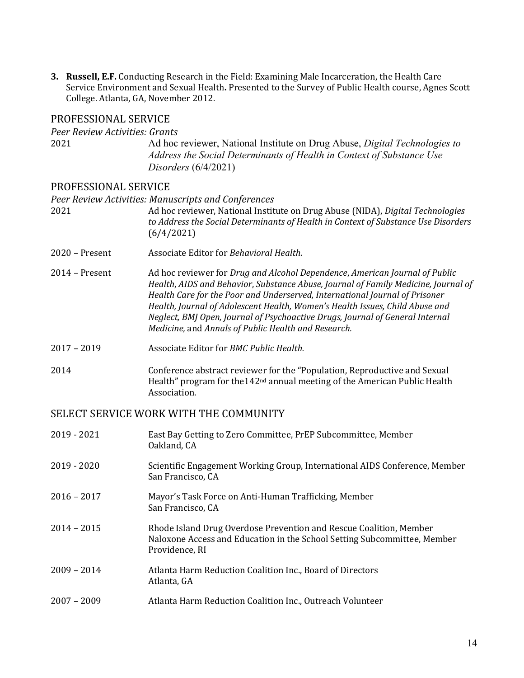**3. Russell, E.F.** Conducting Research in the Field: Examining Male Incarceration, the Health Care Service Environment and Sexual Health. Presented to the Survey of Public Health course, Agnes Scott College. Atlanta, GA, November 2012.

## PROFESSIONAL SERVICE

| Peer Review Activities: Grants<br>2021 | Ad hoc reviewer, National Institute on Drug Abuse, Digital Technologies to<br>Address the Social Determinants of Health in Context of Substance Use<br>Disorders $(6/4/2021)$                                                                                                                                                                                                                                                                                            |
|----------------------------------------|--------------------------------------------------------------------------------------------------------------------------------------------------------------------------------------------------------------------------------------------------------------------------------------------------------------------------------------------------------------------------------------------------------------------------------------------------------------------------|
| PROFESSIONAL SERVICE                   |                                                                                                                                                                                                                                                                                                                                                                                                                                                                          |
|                                        | Peer Review Activities: Manuscripts and Conferences                                                                                                                                                                                                                                                                                                                                                                                                                      |
| 2021                                   | Ad hoc reviewer, National Institute on Drug Abuse (NIDA), Digital Technologies<br>to Address the Social Determinants of Health in Context of Substance Use Disorders<br>(6/4/2021)                                                                                                                                                                                                                                                                                       |
| $2020$ – Present                       | Associate Editor for Behavioral Health.                                                                                                                                                                                                                                                                                                                                                                                                                                  |
| $2014$ – Present                       | Ad hoc reviewer for Drug and Alcohol Dependence, American Journal of Public<br>Health, AIDS and Behavior, Substance Abuse, Journal of Family Medicine, Journal of<br>Health Care for the Poor and Underserved, International Journal of Prisoner<br>Health, Journal of Adolescent Health, Women's Health Issues, Child Abuse and<br>Neglect, BMJ Open, Journal of Psychoactive Drugs, Journal of General Internal<br>Medicine, and Annals of Public Health and Research. |
| $2017 - 2019$                          | Associate Editor for BMC Public Health.                                                                                                                                                                                                                                                                                                                                                                                                                                  |
| 2014                                   | Conference abstract reviewer for the "Population, Reproductive and Sexual<br>Health" program for the 142 <sup>nd</sup> annual meeting of the American Public Health<br>Association.                                                                                                                                                                                                                                                                                      |

## SELECT SERVICE WORK WITH THE COMMUNITY

| $2019 - 2020$<br>Scientific Engagement Working Group, International AIDS Conference, Member<br>San Francisco, CA                                                                  |  |
|-----------------------------------------------------------------------------------------------------------------------------------------------------------------------------------|--|
| $2016 - 2017$<br>Mayor's Task Force on Anti-Human Trafficking, Member<br>San Francisco, CA                                                                                        |  |
| $2014 - 2015$<br>Rhode Island Drug Overdose Prevention and Rescue Coalition, Member<br>Naloxone Access and Education in the School Setting Subcommittee, Member<br>Providence, RI |  |
| $2009 - 2014$<br>Atlanta Harm Reduction Coalition Inc., Board of Directors<br>Atlanta, GA                                                                                         |  |
| $2007 - 2009$<br>Atlanta Harm Reduction Coalition Inc., Outreach Volunteer                                                                                                        |  |